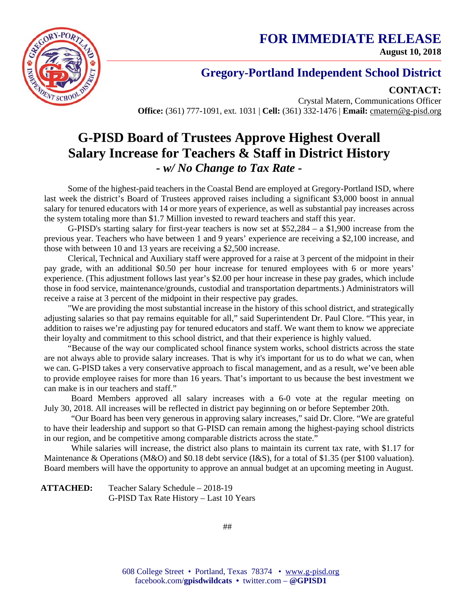**FOR IMMEDIATE RELEASE August 10, 2018**



### **Gregory-Portland Independent School District**

**CONTACT:**

Crystal Matern, Communications Officer **Office:** (361) 777-1091, ext. 1031 | **Cell:** (361) 332-1476 | **Email:** cmatern@g-pisd.org

# **G-PISD Board of Trustees Approve Highest Overall Salary Increase for Teachers & Staff in District History** *- w/ No Change to Tax Rate -*

Some of the highest-paid teachers in the Coastal Bend are employed at Gregory-Portland ISD, where last week the district's Board of Trustees approved raises including a significant \$3,000 boost in annual salary for tenured educators with 14 or more years of experience, as well as substantial pay increases across the system totaling more than \$1.7 Million invested to reward teachers and staff this year.

G-PISD's starting salary for first-year teachers is now set at \$52,284 – a \$1,900 increase from the previous year. Teachers who have between 1 and 9 years' experience are receiving a \$2,100 increase, and those with between 10 and 13 years are receiving a \$2,500 increase.

Clerical, Technical and Auxiliary staff were approved for a raise at 3 percent of the midpoint in their pay grade, with an additional \$0.50 per hour increase for tenured employees with 6 or more years' experience. (This adjustment follows last year's \$2.00 per hour increase in these pay grades, which include those in food service, maintenance/grounds, custodial and transportation departments.) Administrators will receive a raise at 3 percent of the midpoint in their respective pay grades.

"We are providing the most substantial increase in the history of this school district, and strategically adjusting salaries so that pay remains equitable for all," said Superintendent Dr. Paul Clore. "This year, in addition to raises we're adjusting pay for tenured educators and staff. We want them to know we appreciate their loyalty and commitment to this school district, and that their experience is highly valued.

"Because of the way our complicated school finance system works, school districts across the state are not always able to provide salary increases. That is why it's important for us to do what we can, when we can. G-PISD takes a very conservative approach to fiscal management, and as a result, we've been able to provide employee raises for more than 16 years. That's important to us because the best investment we can make is in our teachers and staff."

Board Members approved all salary increases with a 6-0 vote at the regular meeting on July 30, 2018. All increases will be reflected in district pay beginning on or before September 20th.

"Our Board has been very generous in approving salary increases," said Dr. Clore. "We are grateful to have their leadership and support so that G-PISD can remain among the highest-paying school districts in our region, and be competitive among comparable districts across the state."

While salaries will increase, the district also plans to maintain its current tax rate, with \$1.17 for Maintenance & Operations (M&O) and \$0.18 debt service (I&S), for a total of \$1.35 (per \$100 valuation). Board members will have the opportunity to approve an annual budget at an upcoming meeting in August.

**ATTACHED:** Teacher Salary Schedule – 2018-19 G-PISD Tax Rate History – Last 10 Years

##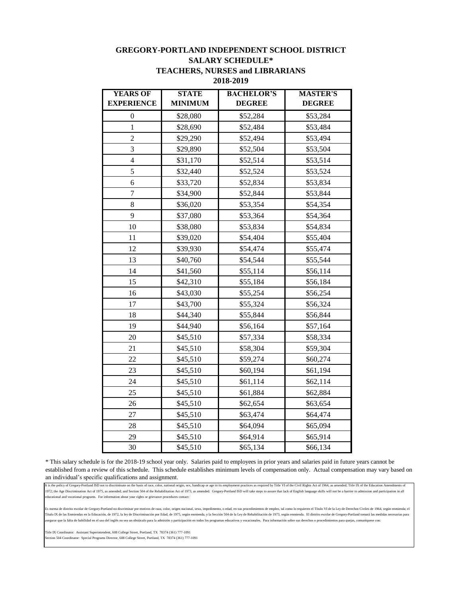#### **GREGORY-PORTLAND INDEPENDENT SCHOOL DISTRICT SALARY SCHEDULE\* TEACHERS, NURSES and LIBRARIANS 2018-2019**

| <b>YEARS OF</b>   | <b>STATE</b>   | <b>BACHELOR'S</b> | <b>MASTER'S</b> |
|-------------------|----------------|-------------------|-----------------|
| <b>EXPERIENCE</b> | <b>MINIMUM</b> | <b>DEGREE</b>     | <b>DEGREE</b>   |
| 0                 | \$28,080       | \$52,284          | \$53,284        |
| $\mathbf{1}$      | \$28,690       | \$52,484          | \$53,484        |
| $\overline{2}$    | \$29,290       | \$52,494          | \$53,494        |
| 3                 | \$29,890       | \$52,504          | \$53,504        |
| $\overline{4}$    | \$31,170       | \$52,514          | \$53,514        |
| 5                 | \$32,440       | \$52,524          | \$53,524        |
| 6                 | \$33,720       | \$52,834          | \$53,834        |
| 7                 | \$34,900       | \$52,844          | \$53,844        |
| 8                 | \$36,020       | \$53,354          | \$54,354        |
| 9                 | \$37,080       | \$53,364          | \$54,364        |
| 10                | \$38,080       | \$53,834          | \$54,834        |
| 11                | \$39,020       | \$54,404          | \$55,404        |
| 12                | \$39,930       | \$54,474          | \$55,474        |
| 13                | \$40,760       | \$54,544          | \$55,544        |
| 14                | \$41,560       | \$55,114          | \$56,114        |
| 15                | \$42,310       | \$55,184          | \$56,184        |
| 16                | \$43,030       | \$55,254          | \$56,254        |
| 17                | \$43,700       | \$55,324          | \$56,324        |
| 18                | \$44,340       | \$55,844          | \$56,844        |
| 19                | \$44,940       | \$56,164          | \$57,164        |
| 20                | \$45,510       | \$57,334          | \$58,334        |
| 21                | \$45,510       | \$58,304          | \$59,304        |
| 22                | \$45,510       | \$59,274          | \$60,274        |
| 23                | \$45,510       | \$60,194          | \$61,194        |
| 24                | \$45,510       | \$61,114          | \$62,114        |
| 25                | \$45,510       | \$61,884          | \$62,884        |
| 26                | \$45,510       | \$62,654          | \$63,654        |
| 27                | \$45,510       | \$63,474          | \$64,474        |
| 28                | \$45,510       | \$64,094          | \$65,094        |
| 29                | \$45,510       | \$64,914          | \$65,914        |
| 30                | \$45,510       | \$65,134          | \$66,134        |

\* This salary schedule is for the 2018-19 school year only. Salaries paid to employees in prior years and salaries paid in future years cannot be established from a review of this schedule. This schedule establishes minimum levels of compensation only. Actual compensation may vary based on an individual's specific qualifications and assignment.

It is the policy of Gregory-Portland ISD not to discriminate on the basis of race, color, national origin, sex, handicap or age in its employment practices as required by Title VI of the Civil Rights Act of 1964, as amende 1972; the Age Discrimination Act of 1975, as amended; and Section 504 of the Rehabilitation Act of 1973, as amended. Gregory-Portland ISD will take steps to assure that lack of English language skills will not be a barrier educational and vocational programs. For information about your rights or grievance procedures contact:

.<br>Es norma de distrito escolar de Gregory-Portland no discriminar por motivos de raza, color, origen nacional, sexo, impedimento, o edad, en sus procedimientos de empleo, tal como lo requieren el Titulo VI de la Ley de Der Título IX de las Enmiendas en la Educación, de 1972, la ley de Discriminación por Edad, de 1975, según enmienda, y la Sección 504 de la Ley de Rehabilitación de 1973, según enmienda. El distrito escolar de Gregory-Portland asegurar que la falta de habilidad en el uso del inglés no sea un obstáculo para la admisión y participación en todos los programas educativos y vocacionales. Para información sobre sus derechos o procedimientos para quejas, comuníquese con:

Title IX Coordinator: Assistant Superintendent, 608 College Street, Portland, TX 78374 (361) 777-1091 ection 504 Coordinator: Special Programs Director, 608 College Street, Portland, TX 78374 (361) 777-1091